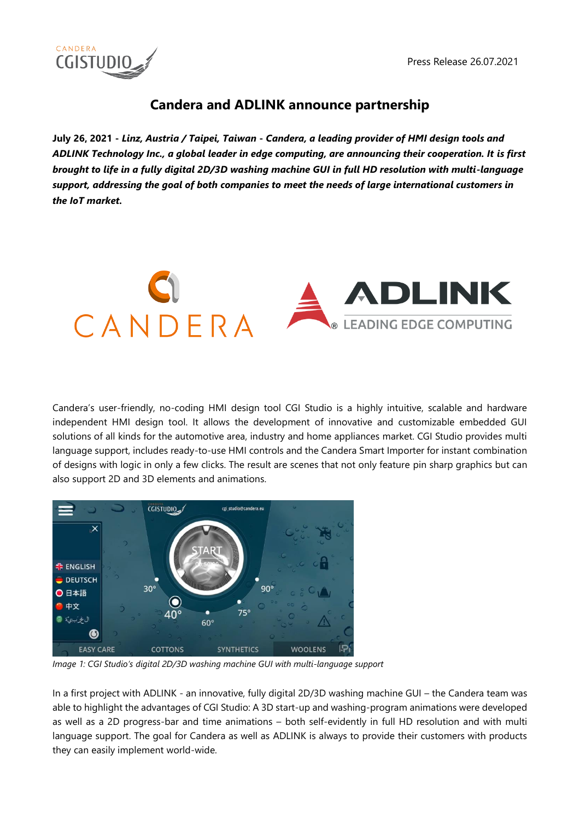

# **Candera and ADLINK announce partnership**

**July 26, 2021 -** *Linz, Austria / Taipei, Taiwan* **-** *Candera, a leading provider of HMI design tools and ADLINK Technology Inc., a global leader in edge computing, are announcing their cooperation. It is first brought to life in a fully digital 2D/3D washing machine GUI in full HD resolution with multi-language support, addressing the goal of both companies to meet the needs of large international customers in the IoT market.* 



Candera's user-friendly, no-coding HMI design tool CGI Studio is a highly intuitive, scalable and hardware independent HMI design tool. It allows the development of innovative and customizable embedded GUI solutions of all kinds for the automotive area, industry and home appliances market. CGI Studio provides multi language support, includes ready-to-use HMI controls and the Candera Smart Importer for instant combination of designs with logic in only a few clicks. The result are scenes that not only feature pin sharp graphics but can also support 2D and 3D elements and animations.



*Image 1: CGI Studio's digital 2D/3D washing machine GUI with multi-language support*

In a first project with ADLINK - an innovative, fully digital 2D/3D washing machine GUI – the Candera team was able to highlight the advantages of CGI Studio: A 3D start-up and washing-program animations were developed as well as a 2D progress-bar and time animations – both self-evidently in full HD resolution and with multi language support. The goal for Candera as well as ADLINK is always to provide their customers with products they can easily implement world-wide.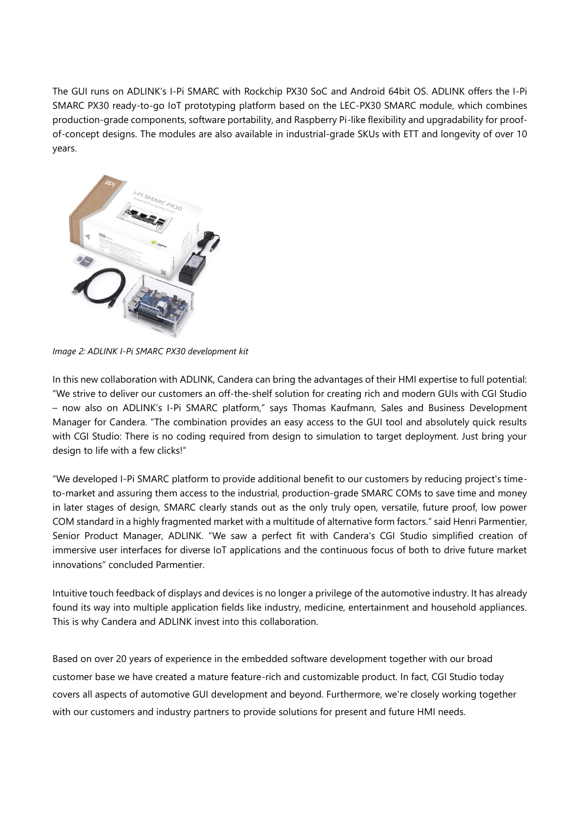The GUI runs on ADLINK's I-Pi SMARC with Rockchip PX30 SoC and Android 64bit OS. ADLINK offers the I-Pi SMARC PX30 ready-to-go IoT prototyping platform based on the LEC-PX30 SMARC module, which combines production-grade components, software portability, and Raspberry Pi-like flexibility and upgradability for proofof-concept designs. The modules are also available in industrial-grade SKUs with ETT and longevity of over 10 years.



*Image 2: ADLINK I-Pi SMARC PX30 development kit*

In this new collaboration with ADLINK, Candera can bring the advantages of their HMI expertise to full potential: "We strive to deliver our customers an off-the-shelf solution for creating rich and modern GUIs with CGI Studio – now also on ADLINK's I-Pi SMARC platform," says Thomas Kaufmann, Sales and Business Development Manager for Candera. "The combination provides an easy access to the GUI tool and absolutely quick results with CGI Studio: There is no coding required from design to simulation to target deployment. Just bring your design to life with a few clicks!"

"We developed I-Pi SMARC platform to provide additional benefit to our customers by reducing project's timeto-market and assuring them access to the industrial, production-grade SMARC COMs to save time and money in later stages of design, SMARC clearly stands out as the only truly open, versatile, future proof, low power COM standard in a highly fragmented market with a multitude of alternative form factors." said Henri Parmentier, Senior Product Manager, ADLINK. "We saw a perfect fit with Candera's CGI Studio simplified creation of immersive user interfaces for diverse IoT applications and the continuous focus of both to drive future market innovations" concluded Parmentier.

Intuitive touch feedback of displays and devices is no longer a privilege of the automotive industry. It has already found its way into multiple application fields like industry, medicine, entertainment and household appliances. This is why Candera and ADLINK invest into this collaboration.

Based on over 20 years of experience in the embedded software development together with our broad customer base we have created a mature feature-rich and customizable product. In fact, CGI Studio today covers all aspects of automotive GUI development and beyond. Furthermore, we're closely working together with our customers and industry partners to provide solutions for present and future HMI needs.